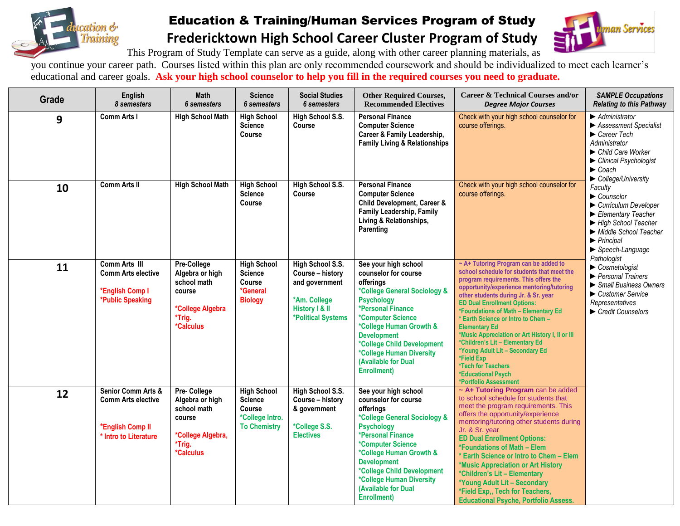

## Education & Training/Human Services Program of Study **Fredericktown High School Career Cluster Program of Study**



This Program of Study Template can serve as a guide, along with other career planning materials, as

you continue your career path. Courses listed within this plan are only recommended coursework and should be individualized to meet each learner's educational and career goals. **Ask your high school counselor to help you fill in the required courses you need to graduate.**

| Grade | English<br>8 semesters                                                                                  | <b>Math</b><br>6 semesters                                                                                        | <b>Science</b><br><b>6</b> semesters                                                     | <b>Social Studies</b><br>6 semesters                                                                           | <b>Other Required Courses,</b><br><b>Recommended Electives</b>                                                                                                                                                                                                                                                    | <b>Career &amp; Technical Courses and/or</b><br><b>Degree Major Courses</b>                                                                                                                                                                                                                                                                                                                                                                                                                                                                                               | <b>SAMPLE Occupations</b><br><b>Relating to this Pathway</b>                                                                                                                                                                                                                                                                                                                                                                                                                                                                                                                                                                                             |
|-------|---------------------------------------------------------------------------------------------------------|-------------------------------------------------------------------------------------------------------------------|------------------------------------------------------------------------------------------|----------------------------------------------------------------------------------------------------------------|-------------------------------------------------------------------------------------------------------------------------------------------------------------------------------------------------------------------------------------------------------------------------------------------------------------------|---------------------------------------------------------------------------------------------------------------------------------------------------------------------------------------------------------------------------------------------------------------------------------------------------------------------------------------------------------------------------------------------------------------------------------------------------------------------------------------------------------------------------------------------------------------------------|----------------------------------------------------------------------------------------------------------------------------------------------------------------------------------------------------------------------------------------------------------------------------------------------------------------------------------------------------------------------------------------------------------------------------------------------------------------------------------------------------------------------------------------------------------------------------------------------------------------------------------------------------------|
| 9     | <b>Comm Arts I</b>                                                                                      | <b>High School Math</b>                                                                                           | <b>High School</b><br><b>Science</b><br>Course                                           | High School S.S.<br>Course                                                                                     | <b>Personal Finance</b><br><b>Computer Science</b><br>Career & Family Leadership,<br><b>Family Living &amp; Relationships</b>                                                                                                                                                                                     | Check with your high school counselor for<br>course offerings.                                                                                                                                                                                                                                                                                                                                                                                                                                                                                                            | $\blacktriangleright$ Administrator<br>▶ Assessment Specialist<br>$\blacktriangleright$ Career Tech<br>Administrator<br>▶ Child Care Worker<br>Clinical Psychologist<br>$\blacktriangleright$ Coach<br>College/University<br>Faculty<br>$\blacktriangleright$ Counselor<br>Curriculum Developer<br>Elementary Teacher<br>High School Teacher<br>Middle School Teacher<br>$\blacktriangleright$ Principal<br>$\blacktriangleright$ Speech-Language<br>Pathologist<br>$\triangleright$ Cosmetologist<br>$\blacktriangleright$ Personal Trainers<br>Small Business Owners<br>Customer Service<br>Representatives<br>$\blacktriangleright$ Credit Counselors |
| 10    | <b>Comm Arts II</b>                                                                                     | <b>High School Math</b>                                                                                           | <b>High School</b><br><b>Science</b><br><b>Course</b>                                    | High School S.S.<br>Course                                                                                     | <b>Personal Finance</b><br><b>Computer Science</b><br>Child Development, Career &<br><b>Family Leadership, Family</b><br>Living & Relationships,<br>Parenting                                                                                                                                                     | Check with your high school counselor for<br>course offerings.                                                                                                                                                                                                                                                                                                                                                                                                                                                                                                            |                                                                                                                                                                                                                                                                                                                                                                                                                                                                                                                                                                                                                                                          |
| 11    | Comm Arts III<br><b>Comm Arts elective</b><br>*English Comp I<br>*Public Speaking                       | Pre-College<br>Algebra or high<br>school math<br>course<br>*College Algebra<br>*Trig.<br><i><b>*Calculus</b></i>  | <b>High School</b><br><b>Science</b><br><b>Course</b><br>*General<br><b>Biology</b>      | High School S.S.<br>Course - history<br>and government<br>*Am. College<br>History I & II<br>*Political Systems | See your high school<br>counselor for course<br>offerings<br>*College General Sociology &<br><b>Psychology</b><br>*Personal Finance<br>*Computer Science<br>*College Human Growth &<br><b>Development</b><br>*College Child Development<br>*College Human Diversity<br>(Available for Dual<br><b>Enrollment)</b>  | ~ A+ Tutoring Program can be added to<br>school schedule for students that meet the<br>program requirements. This offers the<br>opportunity/experience mentoring/tutoring<br>other students during Jr. & Sr. year<br><b>ED Dual Enrollment Options:</b><br>*Foundations of Math - Elementary Ed<br>* Earth Science or Intro to Chem -<br><b>Elementary Ed</b><br>*Music Appreciation or Art History I, II or III<br>*Children's Lit - Elementary Ed<br>*Young Adult Lit - Secondary Ed<br>*Field Exp<br>*Tech for Teachers<br>*Educational Psych<br>*Portfolio Assessment |                                                                                                                                                                                                                                                                                                                                                                                                                                                                                                                                                                                                                                                          |
| 12    | <b>Senior Comm Arts &amp;</b><br><b>Comm Arts elective</b><br>*English Comp II<br>* Intro to Literature | Pre-College<br>Algebra or high<br>school math<br>course<br>*College Algebra,<br>*Trig.<br><i><b>*Calculus</b></i> | <b>High School</b><br><b>Science</b><br>Course<br>*College Intro.<br><b>To Chemistry</b> | High School S.S.<br>Course - history<br>& government<br>*College S.S.<br><b>Electives</b>                      | See your high school<br>counselor for course<br>offerings<br>*College General Sociology &<br><b>Psychology</b><br>*Personal Finance<br>*Computer Science<br>*College Human Growth &<br><b>Development</b><br>*College Child Development<br>*College Human Diversity<br>(Available for Dual<br><b>Enrollment</b> ) | $\sim$ A+ Tutoring Program can be added<br>to school schedule for students that<br>meet the program requirements. This<br>offers the opportunity/experience<br>mentoring/tutoring other students during<br>Jr. & Sr. year<br><b>ED Dual Enrollment Options:</b><br>*Foundations of Math - Elem<br>* Earth Science or Intro to Chem - Elem<br>*Music Appreciation or Art History<br>*Children's Lit - Elementary<br>*Young Adult Lit - Secondary<br>*Field Exp,, Tech for Teachers,<br><b>Educational Psyche, Portfolio Assess.</b>                                        |                                                                                                                                                                                                                                                                                                                                                                                                                                                                                                                                                                                                                                                          |